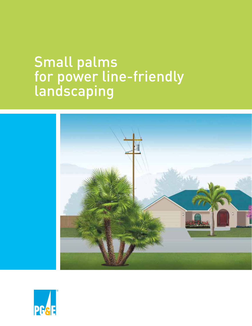# Small palms for power line-friendly landscaping



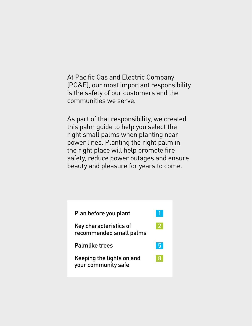At Pacific Gas and Electric Company (PG&E), our most important responsibility is the safety of our customers and the communities we serve.

As part of that responsibility, we created this palm guide to help you select the right small palms when planting near power lines. Planting the right palm in the right place will help promote fire safety, reduce power outages and ensure beauty and pleasure for years to come.

| Plan before you plant                             |     |
|---------------------------------------------------|-----|
| Key characteristics of<br>recommended small palms |     |
| <b>Palmlike trees</b>                             | 5   |
| Keeping the lights on and<br>your community safe  | 437 |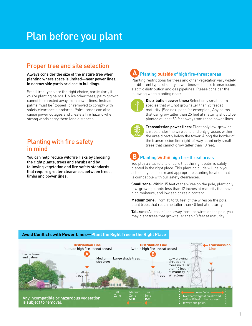# <span id="page-2-0"></span>Plan before you plant

## Proper tree and site selection

Always consider the size of the mature tree when planting where space is limited—near power lines, in narrow side yards or close to buildings.

Small tree types are the right choice, particularly if you're planting palms. Unlike other trees, palm growth cannot be directed away from power lines. Instead, palms must be "topped" or removed to comply with safety clearance standards. Palm fronds can also cause power outages and create a fire hazard when strong winds carry them long distances.

## Planting with fire safety in mind

You can help reduce wildfire risks by choosing the right plants, trees and shrubs and by following vegetation and fire safety standards that require greater clearances between trees, limbs and power lines.

#### Planting **outside** of high fire-threat areas **A**

Planting restrictions for trees and other vegetation vary widely for different types of utility power lines—electric transmission, electric distribution and gas pipelines. Please consider the following when planting near:



**Distribution power lines:** Select only small palm species that will not grow taller than 25 feet at maturity. (See next page for examples.) Any palms that can grow taller than 25 feet at maturity should be planted at least 50 feet away from these power lines.



**Transmission power lines:** Plant only low-growing shrubs under the wire zone and only grasses within the area directly below the tower. Along the border of the transmission line right-of-way, plant only small trees that cannot grow taller than 10 feet.

#### Planting **within** high fire-threat areas **B**

You play a vital role to ensure that the right palm is safely planted in the right place. This planting guide will help you select a type of palm and appropriate planting location that is compatible with our safety clearances.

**Small zone:** Within 15 feet of the wires on the pole, plant only low-growing plants less than 12 inches at maturity that have high moisture, and low sap or resin content.

**Medium zone:** From 15 to 50 feet of the wires on the pole, plant trees that reach no taller than 40 feet at maturity.

**Tall zone:** At least 50 feet away from the wires on the pole, you may plant trees that grow taller than 40 feet at maturity.



#### **Avoid Conflicts with Power Lines—Plant the Right Tree in the Right Place**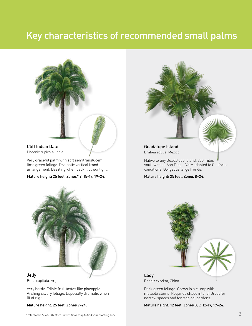## <span id="page-3-0"></span>Key characteristics of recommended small palms



### Cliff Indian Date

Phoenix rupicola, India

Very graceful palm with soft semitranslucent, lime green foliage. Dramatic vertical frond arrangement. Dazzling when backlit by sunlight.

#### Mature height: 25 feet. Zones\* 9, 15-17, 19–24.



conditions. Gorgeous large fronds.

Mature height: 25 feet. Zones 8–24.



Butia capitata, Argentina

Very hardy. Edible fruit tastes like pineapple. Arching silvery foliage. Especially dramatic when lit at night.

Mature height: 25 feet. Zones 7–24.



Dark green foliage. Grows in a clump with multiple stems. Requires shade inland. Great for narrow spaces and for tropical gardens.

Mature height: 12 feet. Zones 8, 9, 12-17, 19–24.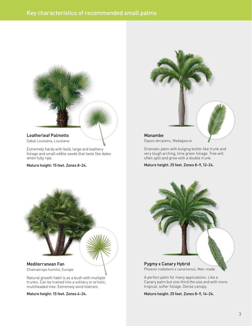

#### Leatherleaf Palmetto Sabal Louisiana, Louisiana

Extremely hardy with bold, large and leathery foliage and small edible seeds that taste like dates when fully ripe.

Mature height: 15 feet. Zones 8–24.



Dypsis decipiens, Madagascar

Dramatic palm with bulging bottle-like trunk and very tough arching, lime green foliage. Tree will often split and grow with a double trunk.

Mature height: 25 feet. Zones 8–9, 12–24.



Chamaerops humilis, Europe

Natural growth habit is as a bush with multiple trunks. Can be trained into a solitary or artistic, multiheaded tree. Extremely wind tolerant.

Mature height: 15 feet. Zones 4–24.



Pygmy x Canary Hybrid

Phoenix roebelenii x canariensis, Man-made

A perfect palm for many applications. Like a Canary palm but one-third the size and with more tropical, softer foliage. Dense canopy.

Mature height: 25 feet. Zones 8–9, 14–24.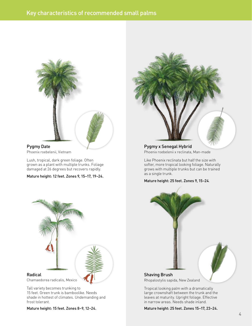

#### Pygmy Date Phoenix roebelenii, Vietnam

Lush, tropical, dark green foliage. Often grown as a plant with multiple trunks. Foliage damaged at 26 degrees but recovers rapidly.

#### Mature height: 12 feet. Zones 9, 15–17, 19–24.



#### Radical

Chamaedorea radicalis, Mexico

Tall variety becomes trunking to 15 feet. Green trunk is bamboolike. Needs shade in hottest of climates. Undemanding and frost tolerant.

Mature height: 15 feet. Zones 8–9, 12–24.



Pygmy x Senegal Hybrid Phoenix roebelenii x reclinata, Man-made

Like Phoenix reclinata but half the size with softer, more tropical looking foliage. Naturally grows with multiple trunks but can be trained as a single trunk.

#### Mature height: 25 feet. Zones 9, 15–24.



Rhopalostylis sapida, New Zealand

Tropical looking palm with a dramatically large crownshaft between the trunk and the leaves at maturity. Upright foliage. Effective in narrow areas. Needs shade inland.

Mature height: 25 feet. Zones 15–17, 23–24.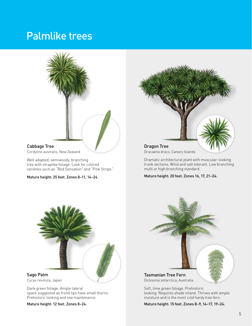## <span id="page-6-0"></span>Palmlike trees



Cordyline australis, New Zealand

Well adapted, semiwoody, branching tree with straplike foliage. Look for colored varieties such as "Red Sensation" and "Pink Stripe."

Mature height: 25 feet. Zones 8–11, 14–24.



Dracaena draco, Canary Islands

Dramatic architectural plant with muscular-looking trunk sections. Wind and salt tolerant. Low branching multi or high branching standard.

Mature height: 20 feet. Zones 16, 17, 21–24.



Cycas revoluta, Japan

Dark green foliage. Ample lateral space suggested as frond tips have small thorns. Prehistoric looking and low maintenance.

Mature height: 12 feet. Zones 8–24.



Dicksonia antarctica, Australia

Soft, lime green foliage. Prehistoric looking. Requires shade inland. Thrives with ample moisture and is the most cold hardy tree fern.

Mature height: 15 feet. Zones 8–9, 14–17, 19–24.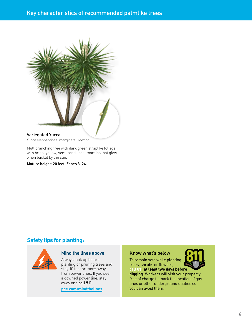## Key characteristics of recommended palmlike trees



#### Variegated Yucca

Yucca elephantipes 'marginata,' Mexico

Multibranching tree with dark green straplike foliage with bright yellow, semitranslucent margins that glow when backlit by the sun.

Mature height: 20 feet. Zones 8–24.

### **Safety tips for planting:**



#### Mind the lines above

Always look up before planting or pruning trees and stay 10 feet or more away from power lines. If you see a downed power line, stay away and **call 911**.

**[pge.com/mindthelines](https://www.pge.com/en_US/safety/electrical-safety/electrical-safety.page?WT.mc_id=Vanity_mindthelines)**

#### Know what's below

To remain safe while planting trees, shrubs or flowers,

**call 811 at least two days before digging.** Workers will visit your property free of charge to mark the location of gas lines or other underground utilities so you can avoid them.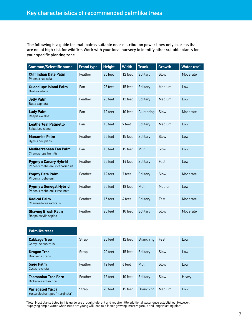The following is a guide to small palms suitable near distribution power lines only in areas that are not at high risk for wildfire. Work with your local nursery to identify other suitable plants for your specific planting zone.

| <b>Common/Scientific name</b>                                    | <b>Frond type</b> | <b>Height</b> | <b>Width</b> | <b>Trunk</b> | <b>Growth</b> | Water use* |
|------------------------------------------------------------------|-------------------|---------------|--------------|--------------|---------------|------------|
| <b>Cliff Indian Date Palm</b><br>Phoenix rupicola                | Feather           | 25 feet       | 12 feet      | Solitary     | Slow          | Moderate   |
| <b>Guadalupe Island Palm</b><br>Brahea edulis                    | Fan               | 25 feet       | 15 feet      | Solitary     | Medium        | $\log$     |
| <b>Jelly Palm</b><br>Butia capitata                              | Feather           | 25 feet       | 12 feet      | Solitary     | Medium        | Low        |
| <b>Lady Palm</b><br>Rhapis excelsa                               | Fan               | 12 feet       | 10 feet      | Clustering   | Slow          | Moderate   |
| <b>Leatherleaf Palmetto</b><br>Sabal Louisiana                   | Fan               | 15 feet       | 9 feet       | Solitary     | Medium        | Low        |
| <b>Manambe Palm</b><br>Dypsis decipiens                          | Feather           | 25 feet       | 15 feet      | Solitary     | Slow          | l ow       |
| <b>Mediterranean Fan Palm</b><br>Chamaerops humilis              | Fan               | 15 feet       | 15 feet      | Multi        | Slow          | Low        |
| <b>Pygmy x Canary Hybrid</b><br>Phoenix roebelenii x canariensis | Feather           | 25 feet       | 14 feet      | Solitary     | Fast          | Low        |
| <b>Pygmy Date Palm</b><br>Phoenix roebelenii                     | Feather           | 12 feet       | 7 feet       | Solitary     | Slow          | Moderate   |
| <b>Pygmy x Senegal Hybrid</b><br>Phoenix roebelenii x reclinata  | Feather           | 25 feet       | 18 feet      | Multi        | Medium        | l ow       |
| <b>Radical Palm</b><br>Chamaedorea radicalis                     | Feather           | 15 feet       | 4 feet       | Solitary     | Fast          | Moderate   |
| <b>Shaving Brush Palm</b><br>Rhopalostylis sapida                | Feather           | 25 feet       | 10 feet      | Solitary     | Slow          | Moderate   |

| <b>Palmlike trees</b>                                     |         |         |         |                  |        |       |
|-----------------------------------------------------------|---------|---------|---------|------------------|--------|-------|
| <b>Cabbage Tree</b><br>Cordyline australis                | Strap   | 25 feet | 12 feet | <b>Branching</b> | Fast   | Low   |
| <b>Dragon Tree</b><br>Dracaena draco                      | Strap   | 20 feet | 15 feet | Solitary         | Slow   | Low   |
| Sago Palm<br>Cycas revoluta                               | Feather | 12 feet | 6 feet  | Multi            | Slow   | Low   |
| <b>Tasmanian Tree Fern</b><br>Dicksonia antarctica        | Feather | 15 feet | 10 feet | Solitary         | Slow   | Heavy |
| <b>Variegated Yucca</b><br>Yucca elephantipes 'marginata' | Strap   | 20 feet | 15 feet | <b>Branching</b> | Medium | Low   |

 \* Note: Most plants listed in this guide are drought tolerant and require little additional water once established. However, supplying ample water when trees are young will lead to a faster growing, more vigorous and longer lasting plant.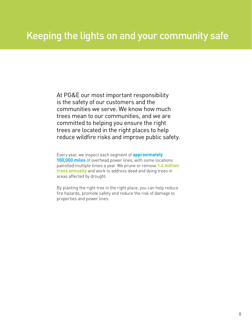<span id="page-9-0"></span>At PG&E our most important responsibility is the safety of our customers and the communities we serve. We know how much trees mean to our communities, and we are committed to helping you ensure the right trees are located in the right places to help reduce wildfire risks and improve public safety.

Every year, we inspect each segment of **approximately 100,000 miles** of overhead power lines, with some locations patrolled multiple times a year. We prune or remove **1.4 million trees annually** and work to address dead and dying trees in areas affected by drought.

By planting the right tree in the right place, you can help reduce fire hazards, promote safety and reduce the risk of damage to properties and power lines.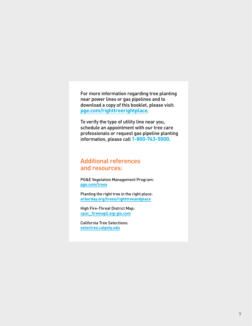For more information regarding tree planting near power lines or gas pipelines and to download a copy of this booklet, please visit: **[pge.com/righttreerightplace](https://www.pge.com/en_US/safety/yard-safety/powerlines-and-trees/right-tree-right-place/right-tree-right-place.page?WT.mc_id=Vanity_righttreerightplace)**.

To verify the type of utility line near you, schedule an appointment with our tree care professionals or request gas pipeline planting information, please call **1-800-743-5000**.

## Additional references and resources:

PG&E Vegetation Management Program: **[pge.com/trees](https://www.pge.com/en_US/safety/yard-safety/powerlines-and-trees/manage-trees-and-plants-near-power-lines.page?WT.mc_id=Vanity_trees)**

Planting the right tree in the right place: **[arborday.org/trees/righttreeandplace](https://www.arborday.org/trees/righttreeandplace/)**

High Fire-Threat District Map: **[cpuc\\_firemap2.sig-gis.com](http://cpuc_firemap2.sig-gis.com/)**

California Tree Selections: **[selectree.calpoly.edu](https://selectree.calpoly.edu/)**